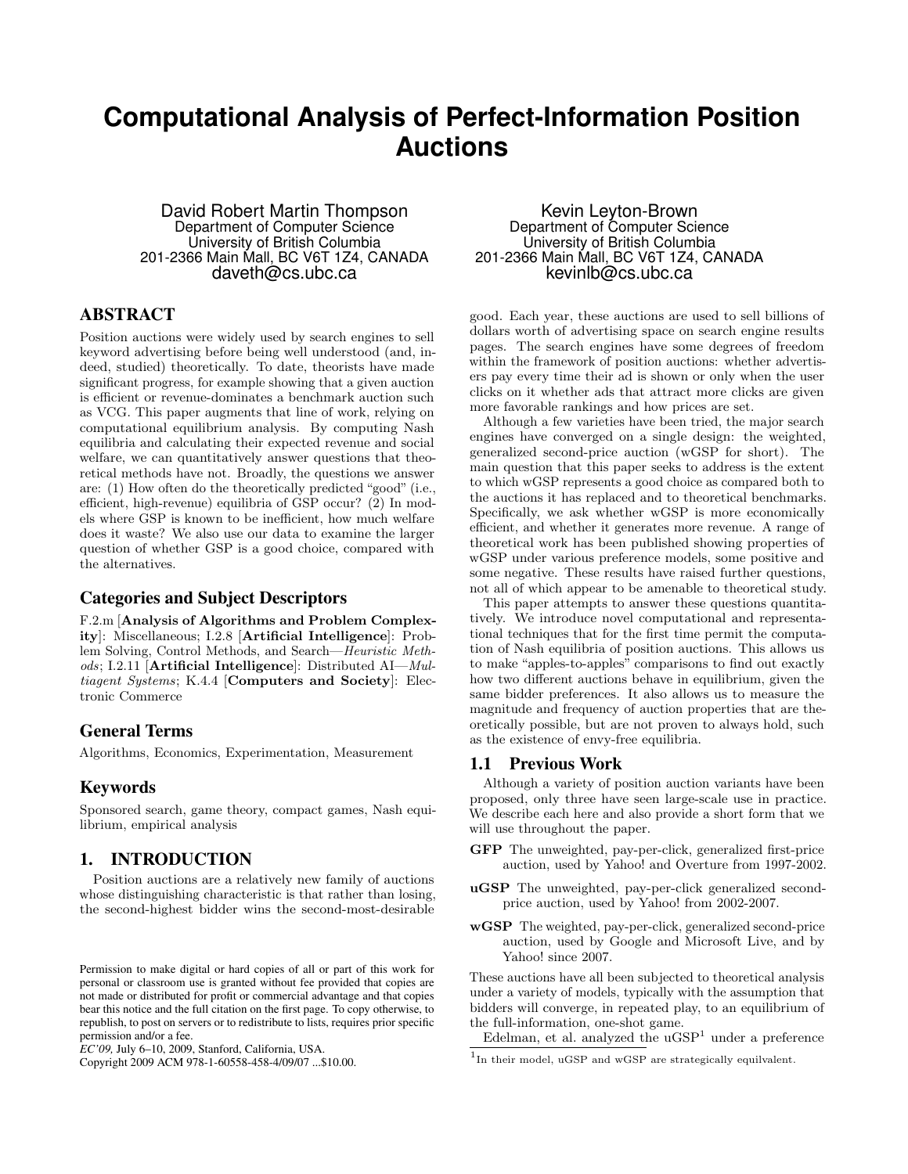# **Computational Analysis of Perfect-Information Position Auctions**

David Robert Martin Thompson Department of Computer Science University of British Columbia 201-2366 Main Mall, BC V6T 1Z4, CANADA daveth@cs.ubc.ca

# ABSTRACT

Position auctions were widely used by search engines to sell keyword advertising before being well understood (and, indeed, studied) theoretically. To date, theorists have made significant progress, for example showing that a given auction is efficient or revenue-dominates a benchmark auction such as VCG. This paper augments that line of work, relying on computational equilibrium analysis. By computing Nash equilibria and calculating their expected revenue and social welfare, we can quantitatively answer questions that theoretical methods have not. Broadly, the questions we answer are: (1) How often do the theoretically predicted "good" (i.e., efficient, high-revenue) equilibria of GSP occur? (2) In models where GSP is known to be inefficient, how much welfare does it waste? We also use our data to examine the larger question of whether GSP is a good choice, compared with the alternatives.

# Categories and Subject Descriptors

F.2.m [Analysis of Algorithms and Problem Complexity]: Miscellaneous; I.2.8 [Artificial Intelligence]: Problem Solving, Control Methods, and Search—Heuristic Methods; I.2.11 [Artificial Intelligence]: Distributed AI—Multiagent Systems; K.4.4 [Computers and Society]: Electronic Commerce

# General Terms

Algorithms, Economics, Experimentation, Measurement

# Keywords

Sponsored search, game theory, compact games, Nash equilibrium, empirical analysis

# 1. INTRODUCTION

Position auctions are a relatively new family of auctions whose distinguishing characteristic is that rather than losing, the second-highest bidder wins the second-most-desirable

Copyright 2009 ACM 978-1-60558-458-4/09/07 ...\$10.00.

Kevin Leyton-Brown Department of Computer Science University of British Columbia 201-2366 Main Mall, BC V6T 1Z4, CANADA kevinlb@cs.ubc.ca

good. Each year, these auctions are used to sell billions of dollars worth of advertising space on search engine results pages. The search engines have some degrees of freedom within the framework of position auctions: whether advertisers pay every time their ad is shown or only when the user clicks on it whether ads that attract more clicks are given more favorable rankings and how prices are set.

Although a few varieties have been tried, the major search engines have converged on a single design: the weighted, generalized second-price auction (wGSP for short). The main question that this paper seeks to address is the extent to which wGSP represents a good choice as compared both to the auctions it has replaced and to theoretical benchmarks. Specifically, we ask whether wGSP is more economically efficient, and whether it generates more revenue. A range of theoretical work has been published showing properties of wGSP under various preference models, some positive and some negative. These results have raised further questions, not all of which appear to be amenable to theoretical study.

This paper attempts to answer these questions quantitatively. We introduce novel computational and representational techniques that for the first time permit the computation of Nash equilibria of position auctions. This allows us to make "apples-to-apples" comparisons to find out exactly how two different auctions behave in equilibrium, given the same bidder preferences. It also allows us to measure the magnitude and frequency of auction properties that are theoretically possible, but are not proven to always hold, such as the existence of envy-free equilibria.

# 1.1 Previous Work

Although a variety of position auction variants have been proposed, only three have seen large-scale use in practice. We describe each here and also provide a short form that we will use throughout the paper.

- GFP The unweighted, pay-per-click, generalized first-price auction, used by Yahoo! and Overture from 1997-2002.
- uGSP The unweighted, pay-per-click generalized secondprice auction, used by Yahoo! from 2002-2007.
- wGSP The weighted, pay-per-click, generalized second-price auction, used by Google and Microsoft Live, and by Yahoo! since 2007.

These auctions have all been subjected to theoretical analysis under a variety of models, typically with the assumption that bidders will converge, in repeated play, to an equilibrium of the full-information, one-shot game.

Edelman, et al. analyzed the  $\mathrm{uGSP}^1$  under a preference

Permission to make digital or hard copies of all or part of this work for personal or classroom use is granted without fee provided that copies are not made or distributed for profit or commercial advantage and that copies bear this notice and the full citation on the first page. To copy otherwise, to republish, to post on servers or to redistribute to lists, requires prior specific permission and/or a fee.

*EC'09,* July 6–10, 2009, Stanford, California, USA.

<sup>&</sup>lt;sup>1</sup>In their model, uGSP and wGSP are strategically equilvalent.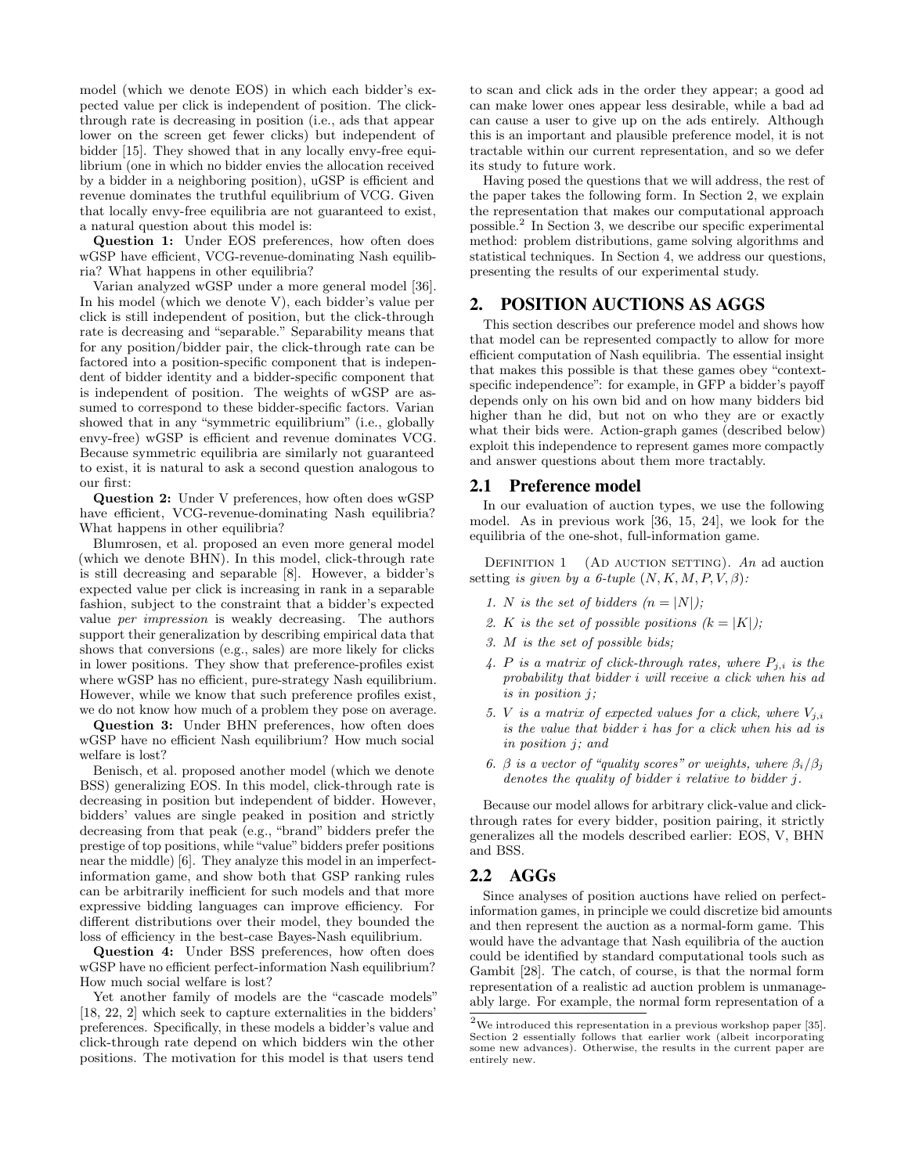model (which we denote EOS) in which each bidder's expected value per click is independent of position. The clickthrough rate is decreasing in position (i.e., ads that appear lower on the screen get fewer clicks) but independent of bidder [15]. They showed that in any locally envy-free equilibrium (one in which no bidder envies the allocation received by a bidder in a neighboring position), uGSP is efficient and revenue dominates the truthful equilibrium of VCG. Given that locally envy-free equilibria are not guaranteed to exist, a natural question about this model is:

Question 1: Under EOS preferences, how often does wGSP have efficient, VCG-revenue-dominating Nash equilibria? What happens in other equilibria?

Varian analyzed wGSP under a more general model [36]. In his model (which we denote V), each bidder's value per click is still independent of position, but the click-through rate is decreasing and "separable." Separability means that for any position/bidder pair, the click-through rate can be factored into a position-specific component that is independent of bidder identity and a bidder-specific component that is independent of position. The weights of wGSP are assumed to correspond to these bidder-specific factors. Varian showed that in any "symmetric equilibrium" (i.e., globally envy-free) wGSP is efficient and revenue dominates VCG. Because symmetric equilibria are similarly not guaranteed to exist, it is natural to ask a second question analogous to our first:

Question 2: Under V preferences, how often does wGSP have efficient, VCG-revenue-dominating Nash equilibria? What happens in other equilibria?

Blumrosen, et al. proposed an even more general model (which we denote BHN). In this model, click-through rate is still decreasing and separable [8]. However, a bidder's expected value per click is increasing in rank in a separable fashion, subject to the constraint that a bidder's expected value per impression is weakly decreasing. The authors support their generalization by describing empirical data that shows that conversions (e.g., sales) are more likely for clicks in lower positions. They show that preference-profiles exist where wGSP has no efficient, pure-strategy Nash equilibrium. However, while we know that such preference profiles exist, we do not know how much of a problem they pose on average.

Question 3: Under BHN preferences, how often does wGSP have no efficient Nash equilibrium? How much social welfare is lost?

Benisch, et al. proposed another model (which we denote BSS) generalizing EOS. In this model, click-through rate is decreasing in position but independent of bidder. However, bidders' values are single peaked in position and strictly decreasing from that peak (e.g., "brand" bidders prefer the prestige of top positions, while "value"bidders prefer positions near the middle) [6]. They analyze this model in an imperfectinformation game, and show both that GSP ranking rules can be arbitrarily inefficient for such models and that more expressive bidding languages can improve efficiency. For different distributions over their model, they bounded the loss of efficiency in the best-case Bayes-Nash equilibrium.

Question 4: Under BSS preferences, how often does wGSP have no efficient perfect-information Nash equilibrium? How much social welfare is lost?

Yet another family of models are the "cascade models" [18, 22, 2] which seek to capture externalities in the bidders' preferences. Specifically, in these models a bidder's value and click-through rate depend on which bidders win the other positions. The motivation for this model is that users tend

to scan and click ads in the order they appear; a good ad can make lower ones appear less desirable, while a bad ad can cause a user to give up on the ads entirely. Although this is an important and plausible preference model, it is not tractable within our current representation, and so we defer its study to future work.

Having posed the questions that we will address, the rest of the paper takes the following form. In Section 2, we explain the representation that makes our computational approach possible.<sup>2</sup> In Section 3, we describe our specific experimental method: problem distributions, game solving algorithms and statistical techniques. In Section 4, we address our questions, presenting the results of our experimental study.

# 2. POSITION AUCTIONS AS AGGS

This section describes our preference model and shows how that model can be represented compactly to allow for more efficient computation of Nash equilibria. The essential insight that makes this possible is that these games obey "contextspecific independence": for example, in GFP a bidder's payoff depends only on his own bid and on how many bidders bid higher than he did, but not on who they are or exactly what their bids were. Action-graph games (described below) exploit this independence to represent games more compactly and answer questions about them more tractably.

#### 2.1 Preference model

In our evaluation of auction types, we use the following model. As in previous work [36, 15, 24], we look for the equilibria of the one-shot, full-information game.

DEFINITION 1 (AD AUCTION SETTING). An ad auction setting is given by a 6-tuple  $(N, K, M, P, V, \beta)$ :

- 1. N is the set of bidders  $(n = |N|)$ ;
- 2. K is the set of possible positions  $(k = |K|)$ ;
- 3. M is the set of possible bids;
- 4. P is a matrix of click-through rates, where  $P_{i,i}$  is the probability that bidder i will receive a click when his ad is in position j;
- 5. V is a matrix of expected values for a click, where  $V_{i,i}$ is the value that bidder i has for a click when his ad is in position j; and
- 6. β is a vector of "quality scores" or weights, where  $\beta_i/\beta_j$ denotes the quality of bidder i relative to bidder j.

Because our model allows for arbitrary click-value and clickthrough rates for every bidder, position pairing, it strictly generalizes all the models described earlier: EOS, V, BHN and BSS.

# 2.2 AGGs

Since analyses of position auctions have relied on perfectinformation games, in principle we could discretize bid amounts and then represent the auction as a normal-form game. This would have the advantage that Nash equilibria of the auction could be identified by standard computational tools such as Gambit [28]. The catch, of course, is that the normal form representation of a realistic ad auction problem is unmanageably large. For example, the normal form representation of a

 $^2\!$  We introduced this representation in a previous workshop paper [35]. Section 2 essentially follows that earlier work (albeit incorporating some new advances). Otherwise, the results in the current paper are entirely new.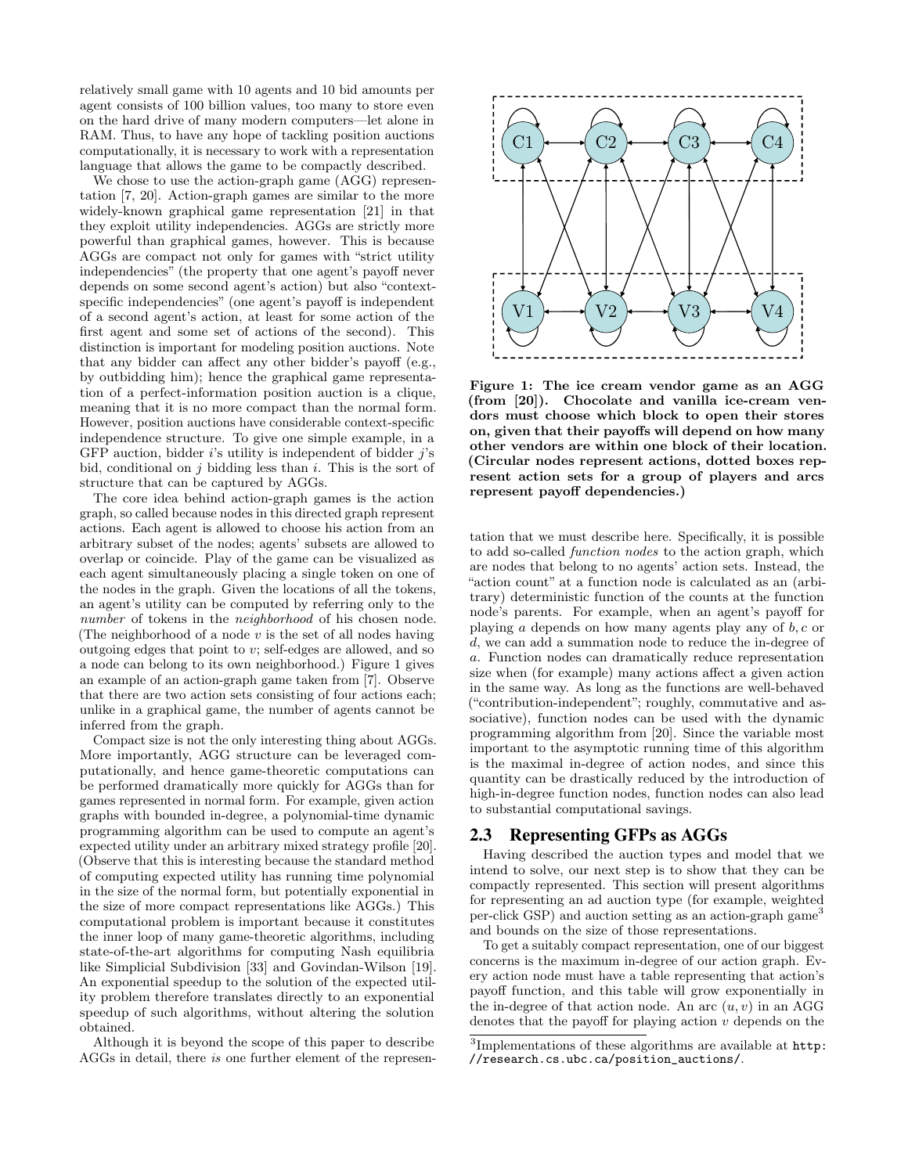relatively small game with 10 agents and 10 bid amounts per agent consists of 100 billion values, too many to store even on the hard drive of many modern computers—let alone in RAM. Thus, to have any hope of tackling position auctions computationally, it is necessary to work with a representation language that allows the game to be compactly described.

We chose to use the action-graph game (AGG) representation [7, 20]. Action-graph games are similar to the more widely-known graphical game representation [21] in that they exploit utility independencies. AGGs are strictly more powerful than graphical games, however. This is because AGGs are compact not only for games with "strict utility independencies" (the property that one agent's payoff never depends on some second agent's action) but also "contextspecific independencies" (one agent's payoff is independent of a second agent's action, at least for some action of the first agent and some set of actions of the second). This distinction is important for modeling position auctions. Note that any bidder can affect any other bidder's payoff (e.g., by outbidding him); hence the graphical game representation of a perfect-information position auction is a clique, tion of a perfect-information position auction is a city eque, meaning that it is no more compact than the normal form. However, position auctions have considerable context-specific However, position auctions have considerable context-specific<br>independence structure. To give one simple example, in a GFP auction, bidder  $i$ 's utility is independent of bidder  $j$ 's bid, conditional on  $j$  bidding less than  $i$ . This is the sort of structure that can be captured by AGGs.

The core idea behind action-graph games is the action<br> *are of two called because nodes in this directed graph represent* graph, so called because nodes in this directed graph represent actions. Each agent is allowed to choose his action from an *late and vanilla. Chocolate (vanilla) vendors are nega*arbitrary subset of the nodes; agents' subsets are allowed to and the game can be visualized as overlap or coincide. Play of the game can be visualized as each agent simultaneously placing a single token on one of each agent simulateously placing a single token on one or the nodes in the graph. Given the locations of all the tokens, the nodes in the graph. Given the locations of all the tokens,<br>an agent's utility can be computed by referring only to the an agent's utility can be computed by referring only to the *number* of tokens in the *neighborhood* of his chosen node. (The neighborhood of a node v is the set of all nodes having<br>  $\alpha$ <br> *cutosing edges* that point to vertical area exhibited and so outgoing edges that point to  $v$ ; self-edges are allowed, and so a node can belong to its own neighborhood.) Figure 1 gives a nexample of an action-graph game taken from [7]. Observe<br>that there are two action-graph game taken from [7]. Observe that there are two action sets consisting of four actions each; unlike in a graphical game, the number of agents cannot be inferred from the graph.

Compact size is not the only interesting thing about AGGs.<br>More importantly, AGG structure can be leveraged com-More importantly, AGG structure can be leveraged computationally, and hence game-theoretic computations can<br>be neglected descriptively represented to  $\Lambda C G$  then form be performed dramatically more quickly for AGGs than for e performed dramaticanty more quickly for AGGs than for games represented in normal form. For example, given action games, the state of the state of the state of the state of the state of the state of the state of the sta graphs with bounded in-degree, a polynomial-time dynamic graphs with bounded in-degree, a polynomial-time dynamic<br>programming algorithm can be used to compute an agent's expected utility under an arbitrary mixed strategy profile [20]. (Observe that this is interesting because the standard method of computing expected utility has running time polynomial in the size of the normal form, but potentially exponential in the size of the hormal form, but potentially exponential in the size of more compact representations like AGGs.) This computational problem is important because it constitutes the inner loop of many game-theoretic algorithms, including state-of-the-art algorithms for computing Nash equilibria state-of-the-art algorithms for computing in as equinorial<br>like Simplicial Subdivision [33] and Govindan-Wilson [19]. An exponential speedup to the solution of the expected utility problem therefore translates directly to an exponential speedup of such algorithms, without altering the solution obtained. obtained.<br>Although it is beyond the scope of this paper to describe polynomial-time dynamic<br>
eed to compute an agent's<br>
mixed strategy best response to  $2.3$  Representing GFPs as AGGs

AGGs in detail, there is one further element of the represen-



 $(\text{from } [20])$ . Chocolate and vanilla ice-cream ven-<br>dependent alones which had to see mid-in stages on, given that their payoffs will depend on how many represent payoff dependencies.) Figure 1: The ice cream vendor game as an AGG dors must choose which block to open their stores other vendors are within one block of their location. (Circular nodes represent actions, dotted boxes represent action sets for a group of players and arcs

the expected utility, it is possible<br>to add so-called *function nodes* to the action graph, which<br>can be viavalized as to add so-called *function nodes* to the action graph, which g a single token on one of a modes that belong to no agents' action sets. Instead, the g a single token on one of  $\frac{1}{2}$  action count" at a function node is calculated as an (arbi is runction nodes can dramatically reduce representation<br>size when (for example) many actions affect a given action<br>in the same way. As long as the functions are well-behaved ("contribution-independent"; roughly, commutative and associative), function nodes can be used with the dynamic size when (for example) many actions affect a given action<br>in the same way. As long as the functions are well-behaved the set of its pure strategy best responses to a mixed strategy is the maximal in-degree of action nodes, and since this contribution of  $\lim_{n \to \infty}$  high-in-degree function nodes, function nodes can also lead<br>to substantial computational savings. mgn in degree random nodes, random tation that we must describe here. Specifically, it is possible "action count" at a function node is calculated as an (arbitrary) deterministic function of the counts at the function node's parents. For example, when an agent's payoff for playing  $a$  depends on how many agents play any of  $b, c$  or d, we can add a summation node to reduce the in-degree of a. Function nodes can dramatically reduce representation ("contribution-independent"; roughly, commutative and asprogramming algorithm from [20]. Since the variable most important to the asymptotic running time of this algorithm quantity can be drastically reduced by the introduction of

 $\begin{array}{ccc} 1 & & \text{if} \\ 5 & & \text{if} \\ 1 & & \text{if} \end{array}$ for representing an ad auction type (for example, weighted<br>per-click GSP) and auction setting as an action-graph game<sup>3</sup> s and bounds on the size of those representations. per-click GSP) and auction setting as an action-graph game<sup>3</sup> Having described the auction types and model that we intend to solve, our next step is to show that they can be compactly represented. This section will present algorithms

 $\frac{1}{2}$  strategy profile of the expected utilibrium in a nash equilibrium in  $\frac{1}{2}$  and this table will grow exponentially in To get a suitably compact representation, one of our biggest concerns is the maximum in-degree of our action graph. Evpayoff function, and this table will grow exponentially in the in-degree of that action node. An arc  $(u, v)$  in an AGG denotes that the payoff for playing action  $v$  depends on the

<sup>//</sup>research.cs.ubc.ca/position\_auctions/.<br>→ //research.cs.ubc.ca/position\_auctions/.  $3$ Implementations of these algorithms are available at  $http://www.1001626227)$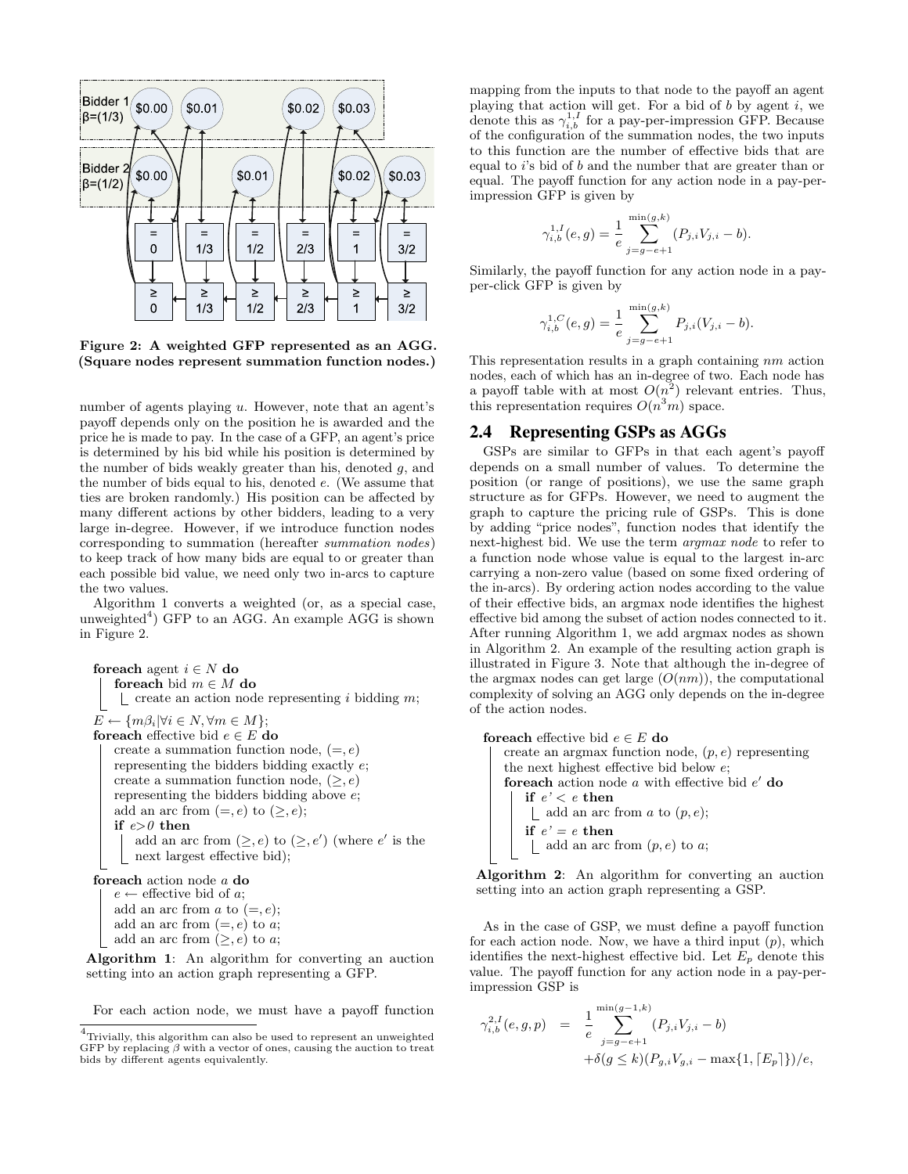

Figure 2: A weighted GFP represented as an AGG. (Square nodes represent summation function nodes.)

number of agents playing u. However, note that an agent's payoff depends only on the position he is awarded and the price he is made to pay. In the case of a GFP, an agent's price is determined by his bid while his position is determined by the number of bids weakly greater than his, denoted g, and the number of bids equal to his, denoted e. (We assume that ties are broken randomly.) His position can be affected by many different actions by other bidders, leading to a very large in-degree. However, if we introduce function nodes corresponding to summation (hereafter summation nodes) to keep track of how many bids are equal to or greater than each possible bid value, we need only two in-arcs to capture the two values.

Algorithm 1 converts a weighted (or, as a special case, unweighted<sup>4</sup>) GFP to an AGG. An example AGG is shown in Figure 2.

foreach agent  $i \in N$  do foreach bid  $m \in M$  do  $\Box$  create an action node representing *i* bidding *m*;  $E \leftarrow \{m\beta_i | \forall i \in N, \forall m \in M\};$ foreach effective bid  $e \in E$ do create a summation function node,  $(=, e)$ representing the bidders bidding exactly e; create a summation function node,  $(\geq, e)$ representing the bidders bidding above  $e$ ; add an arc from  $(=, e)$  to  $(≥, e);$ if  $e>0$  then add an arc from  $(\geq, e)$  to  $(\geq, e')$  (where e' is the next largest effective bid); foreach action node a do  $e \leftarrow$  effective bid of a;

add an arc from  $a$  to  $(=, e);$ add an arc from  $(=, e)$  to a; add an arc from  $(\geq, e)$  to a;

Algorithm 1: An algorithm for converting an auction setting into an action graph representing a GFP.

For each action node, we must have a payoff function

mapping from the inputs to that node to the payoff an agent playing that action will get. For a bid of  $b$  by agent  $i$ , we denote this as  $\gamma_{i,b}^{1,I}$  for a pay-per-impression GFP. Because of the configuration of the summation nodes, the two inputs to this function are the number of effective bids that are equal to i's bid of b and the number that are greater than or equal. The payoff function for any action node in a pay-perimpression GFP is given by

$$
\gamma_{i,b}^{1,I}(e,g) = \frac{1}{e} \sum_{j=g-e+1}^{\min(g,k)} (P_{j,i}V_{j,i} - b).
$$

Similarly, the payoff function for any action node in a payper-click GFP is given by

$$
\gamma_{i,b}^{1,C}(e,g) = \frac{1}{e} \sum_{j=g-e+1}^{\min(g,k)} P_{j,i}(V_{j,i}-b).
$$

This representation results in a graph containing nm action nodes, each of which has an in-degree of two. Each node has a payoff table with at most  $O(n^2)$  relevant entries. Thus, this representation requires  $O(n^3m)$  space.

# 2.4 Representing GSPs as AGGs

GSPs are similar to GFPs in that each agent's payoff depends on a small number of values. To determine the position (or range of positions), we use the same graph structure as for GFPs. However, we need to augment the graph to capture the pricing rule of GSPs. This is done by adding "price nodes", function nodes that identify the next-highest bid. We use the term argmax node to refer to a function node whose value is equal to the largest in-arc carrying a non-zero value (based on some fixed ordering of the in-arcs). By ordering action nodes according to the value of their effective bids, an argmax node identifies the highest effective bid among the subset of action nodes connected to it. After running Algorithm 1, we add argmax nodes as shown in Algorithm 2. An example of the resulting action graph is illustrated in Figure 3. Note that although the in-degree of the argmax nodes can get large  $(O(nm))$ , the computational complexity of solving an AGG only depends on the in-degree of the action nodes.

foreach effective bid  $e \in E$  do create an argmax function node,  $(p, e)$  representing the next highest effective bid below e; for each action node  $a$  with effective bid  $e'$  do if  $e' < e$  then  $\lfloor$  add an arc from a to  $(p, e);$ if  $e' = e$  then | add an arc from  $(p, e)$  to  $a$ ;

Algorithm 2: An algorithm for converting an auction setting into an action graph representing a GSP.

As in the case of GSP, we must define a payoff function for each action node. Now, we have a third input  $(p)$ , which identifies the next-highest effective bid. Let  $E_p$  denote this value. The payoff function for any action node in a pay-perimpression GSP is

$$
\gamma_{i,b}^{2,I}(e,g,p) = \frac{1}{e} \sum_{j=g-e+1}^{\min(g-1,k)} (P_{j,i}V_{j,i} - b)
$$

$$
+ \delta(g \le k)(P_{g,i}V_{g,i} - \max\{1, [E_p]\})/e,
$$

 $^4 {\rm Trivially, }$  this algorithm can also be used to represent an unweighted GFP by replacing  $\beta$  with a vector of ones, causing the auction to treat bids by different agents equivalently.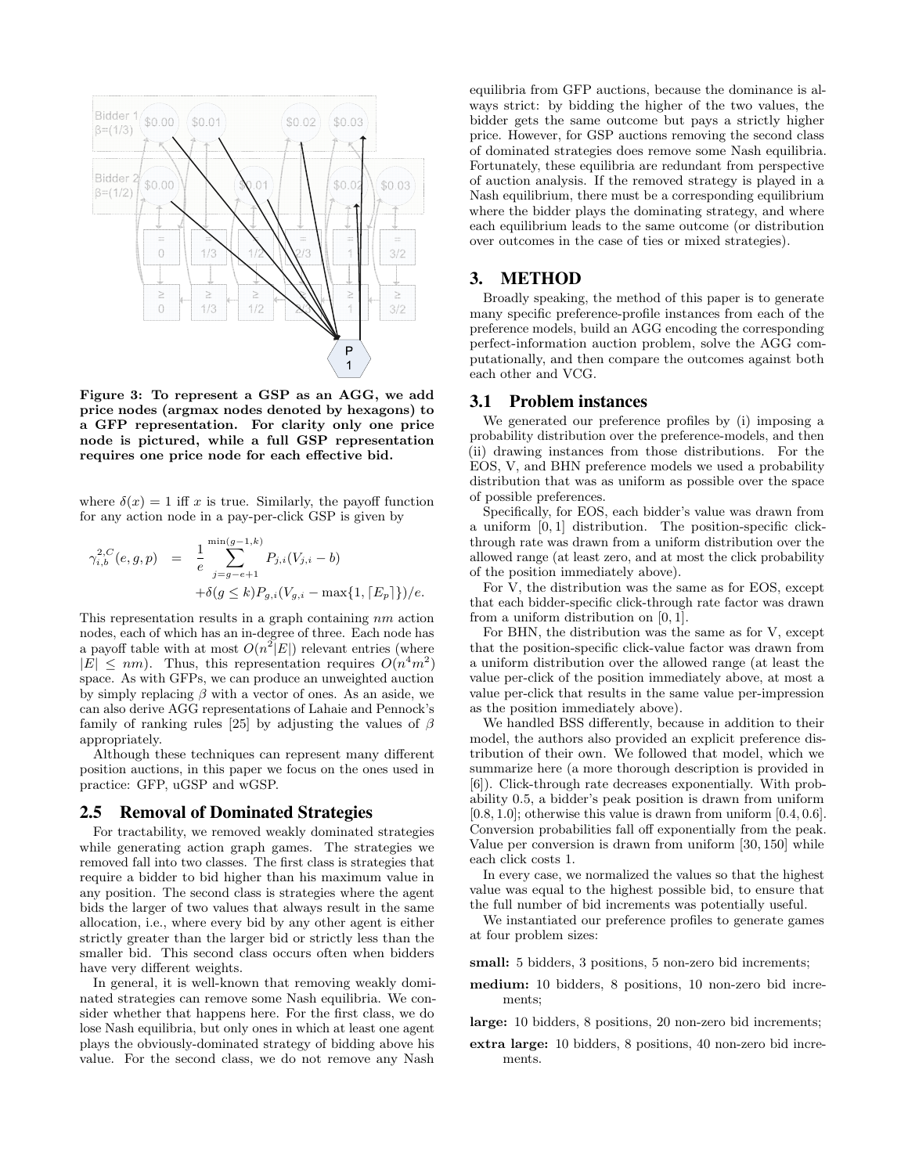

Figure 3: To represent a GSP as an AGG, we add price nodes (argmax nodes denoted by hexagons) to a GFP representation. For clarity only one price node is pictured, while a full GSP representation requires one price node for each effective bid.

where  $\delta(x) = 1$  iff x is true. Similarly, the payoff function for any action node in a pay-per-click GSP is given by

$$
\gamma_{i,b}^{2,C}(e,g,p) = \frac{1}{e} \sum_{j=g-e+1}^{\min(g-1,k)} P_{j,i}(V_{j,i} - b)
$$

$$
+ \delta(g \le k) P_{g,i}(V_{g,i} - \max\{1, [E_p]\})/e.
$$

This representation results in a graph containing nm action nodes, each of which has an in-degree of three. Each node has a payoff table with at most  $O(n^2|E|)$  relevant entries (where  $|E| \leq nm$ ). Thus, this representation requires  $O(n^4m^2)$ space. As with GFPs, we can produce an unweighted auction by simply replacing  $\beta$  with a vector of ones. As an aside, we can also derive AGG representations of Lahaie and Pennock's family of ranking rules [25] by adjusting the values of  $\beta$ appropriately.

Although these techniques can represent many different position auctions, in this paper we focus on the ones used in practice: GFP, uGSP and wGSP.

#### 2.5 Removal of Dominated Strategies

For tractability, we removed weakly dominated strategies while generating action graph games. The strategies we removed fall into two classes. The first class is strategies that require a bidder to bid higher than his maximum value in any position. The second class is strategies where the agent bids the larger of two values that always result in the same allocation, i.e., where every bid by any other agent is either strictly greater than the larger bid or strictly less than the smaller bid. This second class occurs often when bidders have very different weights.

In general, it is well-known that removing weakly dominated strategies can remove some Nash equilibria. We consider whether that happens here. For the first class, we do lose Nash equilibria, but only ones in which at least one agent plays the obviously-dominated strategy of bidding above his value. For the second class, we do not remove any Nash

equilibria from GFP auctions, because the dominance is always strict: by bidding the higher of the two values, the bidder gets the same outcome but pays a strictly higher price. However, for GSP auctions removing the second class of dominated strategies does remove some Nash equilibria. Fortunately, these equilibria are redundant from perspective of auction analysis. If the removed strategy is played in a Nash equilibrium, there must be a corresponding equilibrium where the bidder plays the dominating strategy, and where each equilibrium leads to the same outcome (or distribution over outcomes in the case of ties or mixed strategies).

# 3. METHOD

Broadly speaking, the method of this paper is to generate many specific preference-profile instances from each of the preference models, build an AGG encoding the corresponding perfect-information auction problem, solve the AGG computationally, and then compare the outcomes against both each other and VCG.

#### 3.1 Problem instances

We generated our preference profiles by (i) imposing a probability distribution over the preference-models, and then (ii) drawing instances from those distributions. For the EOS, V, and BHN preference models we used a probability distribution that was as uniform as possible over the space of possible preferences.

Specifically, for EOS, each bidder's value was drawn from a uniform [0, 1] distribution. The position-specific clickthrough rate was drawn from a uniform distribution over the allowed range (at least zero, and at most the click probability of the position immediately above).

For V, the distribution was the same as for EOS, except that each bidder-specific click-through rate factor was drawn from a uniform distribution on [0, 1].

For BHN, the distribution was the same as for V, except that the position-specific click-value factor was drawn from a uniform distribution over the allowed range (at least the value per-click of the position immediately above, at most a value per-click that results in the same value per-impression as the position immediately above).

We handled BSS differently, because in addition to their model, the authors also provided an explicit preference distribution of their own. We followed that model, which we summarize here (a more thorough description is provided in [6]). Click-through rate decreases exponentially. With probability 0.5, a bidder's peak position is drawn from uniform  $[0.8, 1.0]$ ; otherwise this value is drawn from uniform  $[0.4, 0.6]$ . Conversion probabilities fall off exponentially from the peak. Value per conversion is drawn from uniform [30, 150] while each click costs 1.

In every case, we normalized the values so that the highest value was equal to the highest possible bid, to ensure that the full number of bid increments was potentially useful.

We instantiated our preference profiles to generate games at four problem sizes:

small: 5 bidders, 3 positions, 5 non-zero bid increments;

- medium: 10 bidders, 8 positions, 10 non-zero bid increments;
- large: 10 bidders, 8 positions, 20 non-zero bid increments;
- extra large: 10 bidders, 8 positions, 40 non-zero bid increments.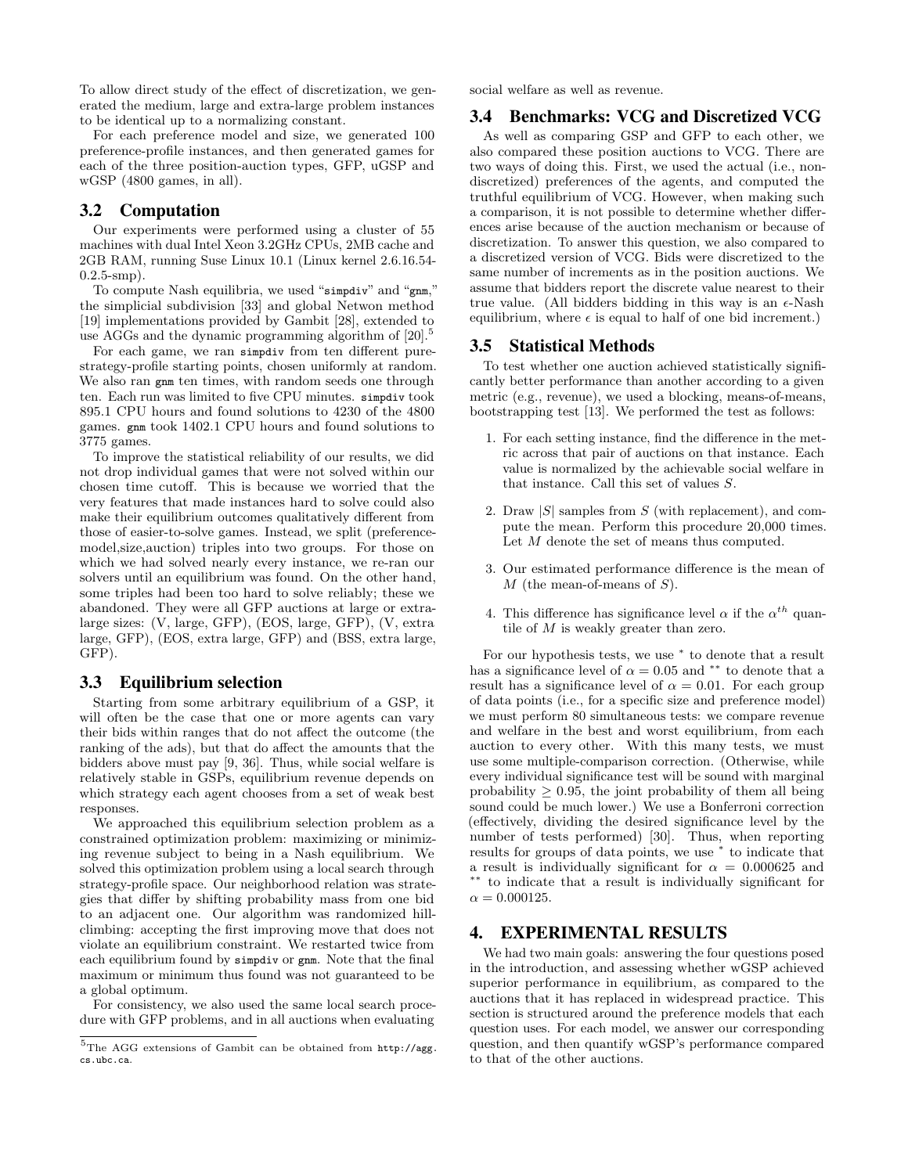To allow direct study of the effect of discretization, we generated the medium, large and extra-large problem instances to be identical up to a normalizing constant.

For each preference model and size, we generated 100 preference-profile instances, and then generated games for each of the three position-auction types, GFP, uGSP and wGSP (4800 games, in all).

# 3.2 Computation

Our experiments were performed using a cluster of 55 machines with dual Intel Xeon 3.2GHz CPUs, 2MB cache and 2GB RAM, running Suse Linux 10.1 (Linux kernel 2.6.16.54-  $0.2.5$ -smp $).$ 

To compute Nash equilibria, we used "simpdiv" and "gnm," the simplicial subdivision [33] and global Netwon method [19] implementations provided by Gambit [28], extended to use AGGs and the dynamic programming algorithm of [20].<sup>5</sup>

For each game, we ran simpdiv from ten different purestrategy-profile starting points, chosen uniformly at random. We also ran gnm ten times, with random seeds one through ten. Each run was limited to five CPU minutes. simpdiv took 895.1 CPU hours and found solutions to 4230 of the 4800 games. gnm took 1402.1 CPU hours and found solutions to 3775 games.

To improve the statistical reliability of our results, we did not drop individual games that were not solved within our chosen time cutoff. This is because we worried that the very features that made instances hard to solve could also make their equilibrium outcomes qualitatively different from those of easier-to-solve games. Instead, we split (preferencemodel,size,auction) triples into two groups. For those on which we had solved nearly every instance, we re-ran our solvers until an equilibrium was found. On the other hand, some triples had been too hard to solve reliably; these we abandoned. They were all GFP auctions at large or extralarge sizes: (V, large, GFP), (EOS, large, GFP), (V, extra large, GFP), (EOS, extra large, GFP) and (BSS, extra large, GFP).

# 3.3 Equilibrium selection

Starting from some arbitrary equilibrium of a GSP, it will often be the case that one or more agents can vary their bids within ranges that do not affect the outcome (the ranking of the ads), but that do affect the amounts that the bidders above must pay [9, 36]. Thus, while social welfare is relatively stable in GSPs, equilibrium revenue depends on which strategy each agent chooses from a set of weak best responses.

We approached this equilibrium selection problem as a constrained optimization problem: maximizing or minimizing revenue subject to being in a Nash equilibrium. We solved this optimization problem using a local search through strategy-profile space. Our neighborhood relation was strategies that differ by shifting probability mass from one bid to an adjacent one. Our algorithm was randomized hillclimbing: accepting the first improving move that does not violate an equilibrium constraint. We restarted twice from each equilibrium found by simpdiv or gnm. Note that the final maximum or minimum thus found was not guaranteed to be a global optimum.

For consistency, we also used the same local search procedure with GFP problems, and in all auctions when evaluating social welfare as well as revenue.

# 3.4 Benchmarks: VCG and Discretized VCG

As well as comparing GSP and GFP to each other, we also compared these position auctions to VCG. There are two ways of doing this. First, we used the actual (i.e., nondiscretized) preferences of the agents, and computed the truthful equilibrium of VCG. However, when making such a comparison, it is not possible to determine whether differences arise because of the auction mechanism or because of discretization. To answer this question, we also compared to a discretized version of VCG. Bids were discretized to the same number of increments as in the position auctions. We assume that bidders report the discrete value nearest to their true value. (All bidders bidding in this way is an  $\epsilon$ -Nash equilibrium, where  $\epsilon$  is equal to half of one bid increment.)

#### 3.5 Statistical Methods

To test whether one auction achieved statistically significantly better performance than another according to a given metric (e.g., revenue), we used a blocking, means-of-means, bootstrapping test [13]. We performed the test as follows:

- 1. For each setting instance, find the difference in the metric across that pair of auctions on that instance. Each value is normalized by the achievable social welfare in that instance. Call this set of values S.
- 2. Draw  $|S|$  samples from S (with replacement), and compute the mean. Perform this procedure 20,000 times. Let M denote the set of means thus computed.
- 3. Our estimated performance difference is the mean of  $M$  (the mean-of-means of  $S$ ).
- 4. This difference has significance level  $\alpha$  if the  $\alpha^{th}$  quantile of M is weakly greater than zero.

For our hypothesis tests, we use <sup>∗</sup> to denote that a result has a significance level of  $\alpha = 0.05$  and <sup>\*\*</sup> to denote that a result has a significance level of  $\alpha = 0.01$ . For each group of data points (i.e., for a specific size and preference model) we must perform 80 simultaneous tests: we compare revenue and welfare in the best and worst equilibrium, from each auction to every other. With this many tests, we must use some multiple-comparison correction. (Otherwise, while every individual significance test will be sound with marginal probability  $\geq 0.95$ , the joint probability of them all being sound could be much lower.) We use a Bonferroni correction (effectively, dividing the desired significance level by the number of tests performed) [30]. Thus, when reporting results for groups of data points, we use <sup>∗</sup> to indicate that a result is individually significant for  $\alpha = 0.000625$  and ∗∗ to indicate that a result is individually significant for  $\alpha = 0.000125.$ 

#### 4. EXPERIMENTAL RESULTS

We had two main goals: answering the four questions posed in the introduction, and assessing whether wGSP achieved superior performance in equilibrium, as compared to the auctions that it has replaced in widespread practice. This section is structured around the preference models that each question uses. For each model, we answer our corresponding question, and then quantify wGSP's performance compared to that of the other auctions.

 ${}^{5}$ The AGG extensions of Gambit can be obtained from http://agg. cs.ubc.ca.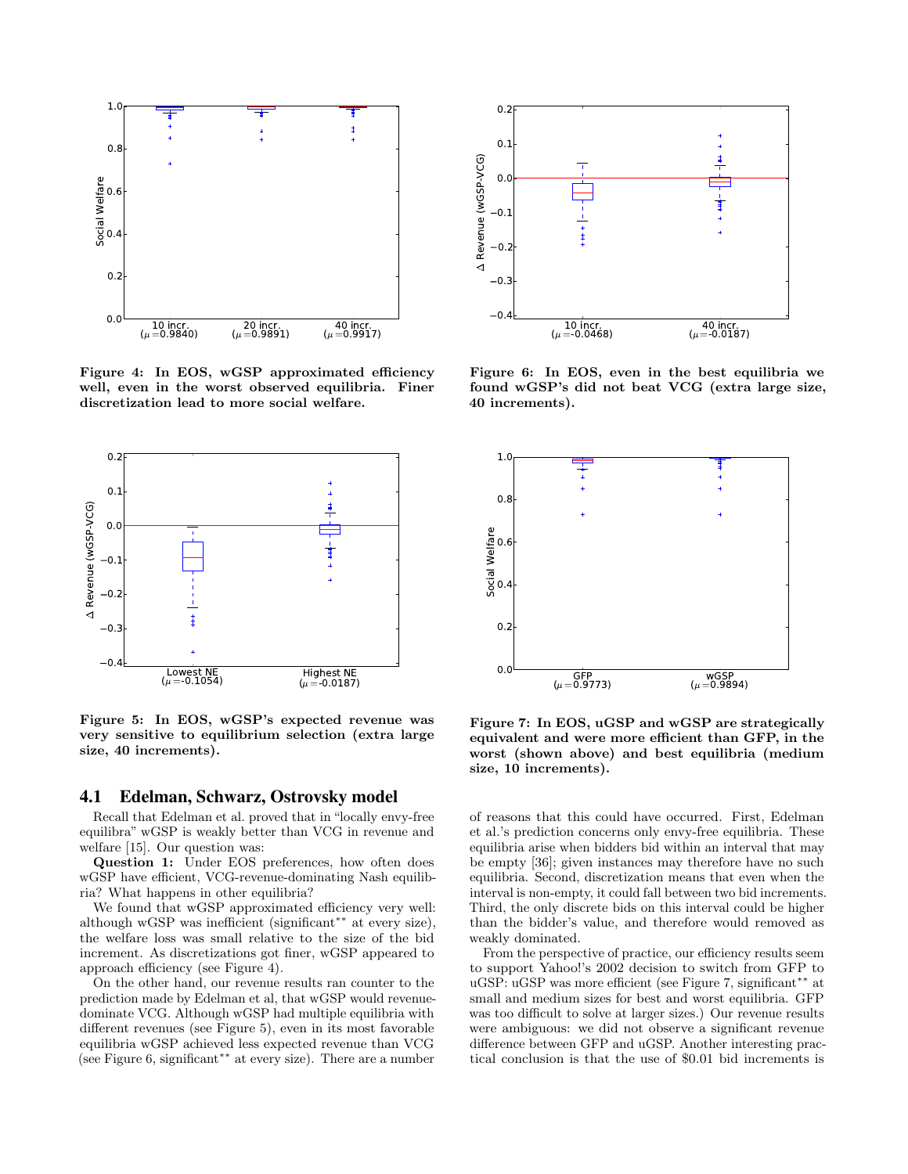

Figure 4: In EOS, wGSP approximated efficiency well, even in the worst observed equilibria. Finer discretization lead to more social welfare.



Figure 5: In EOS, wGSP's expected revenue was very sensitive to equilibrium selection (extra large size, 40 increments).

#### 4.1 Edelman, Schwarz, Ostrovsky model

Recall that Edelman et al. proved that in "locally envy-free equilibra" wGSP is weakly better than VCG in revenue and welfare [15]. Our question was:

Question 1: Under EOS preferences, how often does wGSP have efficient, VCG-revenue-dominating Nash equilibria? What happens in other equilibria?

We found that wGSP approximated efficiency very well: although wGSP was inefficient (significant∗∗ at every size), the welfare loss was small relative to the size of the bid increment. As discretizations got finer, wGSP appeared to approach efficiency (see Figure 4).

On the other hand, our revenue results ran counter to the prediction made by Edelman et al, that wGSP would revenuedominate VCG. Although wGSP had multiple equilibria with different revenues (see Figure 5), even in its most favorable equilibria wGSP achieved less expected revenue than VCG (see Figure 6, significant∗∗ at every size). There are a number



Figure 6: In EOS, even in the best equilibria we found wGSP's did not beat VCG (extra large size, 40 increments).



Figure 7: In EOS, uGSP and wGSP are strategically equivalent and were more efficient than GFP, in the worst (shown above) and best equilibria (medium size, 10 increments).

of reasons that this could have occurred. First, Edelman et al.'s prediction concerns only envy-free equilibria. These equilibria arise when bidders bid within an interval that may be empty [36]; given instances may therefore have no such equilibria. Second, discretization means that even when the interval is non-empty, it could fall between two bid increments. Third, the only discrete bids on this interval could be higher than the bidder's value, and therefore would removed as weakly dominated.

From the perspective of practice, our efficiency results seem to support Yahoo!'s 2002 decision to switch from GFP to uGSP: uGSP was more efficient (see Figure 7, significant∗∗ at small and medium sizes for best and worst equilibria. GFP was too difficult to solve at larger sizes.) Our revenue results were ambiguous: we did not observe a significant revenue difference between GFP and uGSP. Another interesting practical conclusion is that the use of \$0.01 bid increments is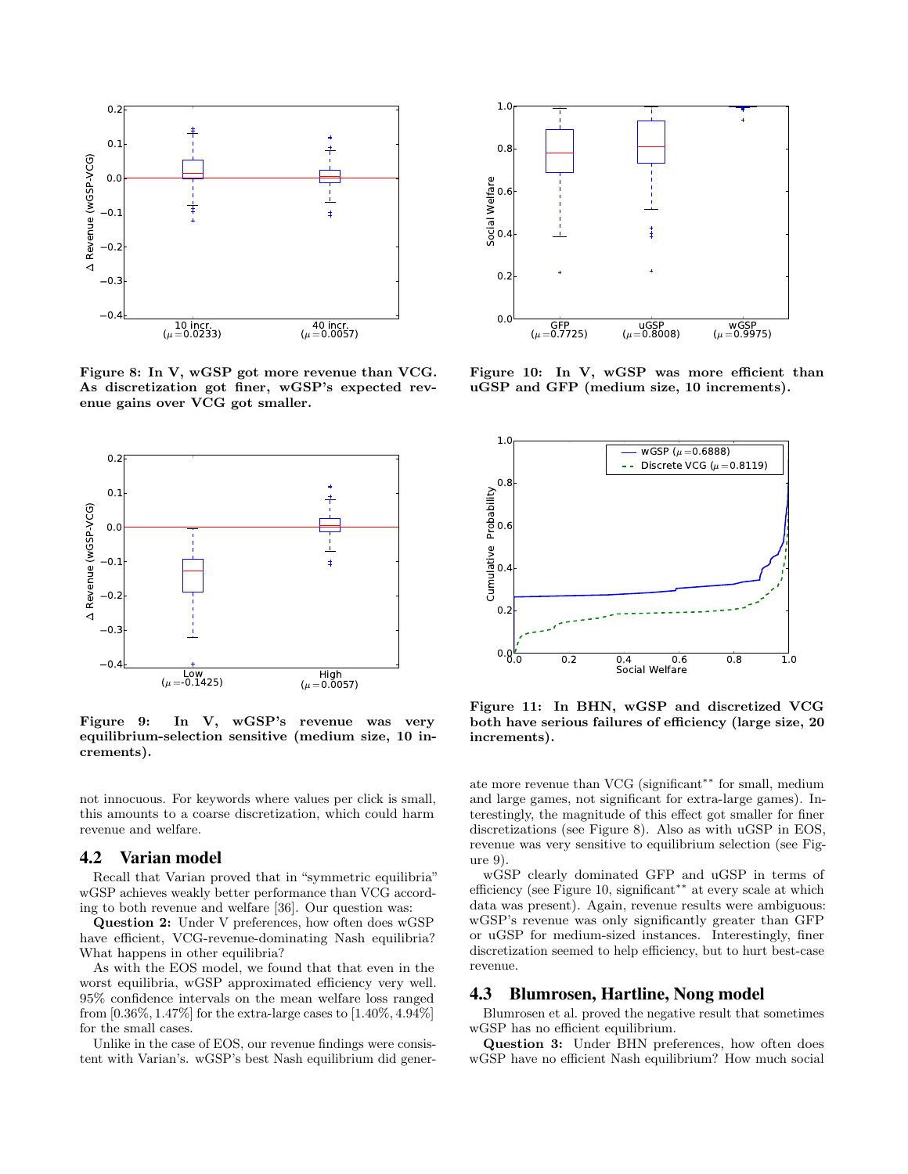

Figure 8: In V, wGSP got more revenue than VCG. As discretization got finer, wGSP's expected revenue gains over VCG got smaller.



Figure 9: In V, wGSP's revenue was very equilibrium-selection sensitive (medium size, 10 increments).

not innocuous. For keywords where values per click is small, this amounts to a coarse discretization, which could harm revenue and welfare.

#### 4.2 Varian model

Recall that Varian proved that in "symmetric equilibria" wGSP achieves weakly better performance than VCG according to both revenue and welfare [36]. Our question was:

Question 2: Under V preferences, how often does wGSP have efficient, VCG-revenue-dominating Nash equilibria? What happens in other equilibria?

As with the EOS model, we found that that even in the worst equilibria, wGSP approximated efficiency very well. 95% confidence intervals on the mean welfare loss ranged from  $[0.36\%, 1.47\%]$  for the extra-large cases to  $[1.40\%, 4.94\%]$ for the small cases.

Unlike in the case of EOS, our revenue findings were consistent with Varian's. wGSP's best Nash equilibrium did gener-



Figure 10: In V, wGSP was more efficient than uGSP and GFP (medium size, 10 increments).



Figure 11: In BHN, wGSP and discretized VCG both have serious failures of efficiency (large size, 20 increments).

ate more revenue than VCG (significant∗∗ for small, medium and large games, not significant for extra-large games). Interestingly, the magnitude of this effect got smaller for finer discretizations (see Figure 8). Also as with uGSP in EOS, revenue was very sensitive to equilibrium selection (see Figure 9).

wGSP clearly dominated GFP and uGSP in terms of efficiency (see Figure 10, significant∗∗ at every scale at which data was present). Again, revenue results were ambiguous: wGSP's revenue was only significantly greater than GFP or uGSP for medium-sized instances. Interestingly, finer discretization seemed to help efficiency, but to hurt best-case revenue.

#### 4.3 Blumrosen, Hartline, Nong model

Blumrosen et al. proved the negative result that sometimes wGSP has no efficient equilibrium.

Question 3: Under BHN preferences, how often does wGSP have no efficient Nash equilibrium? How much social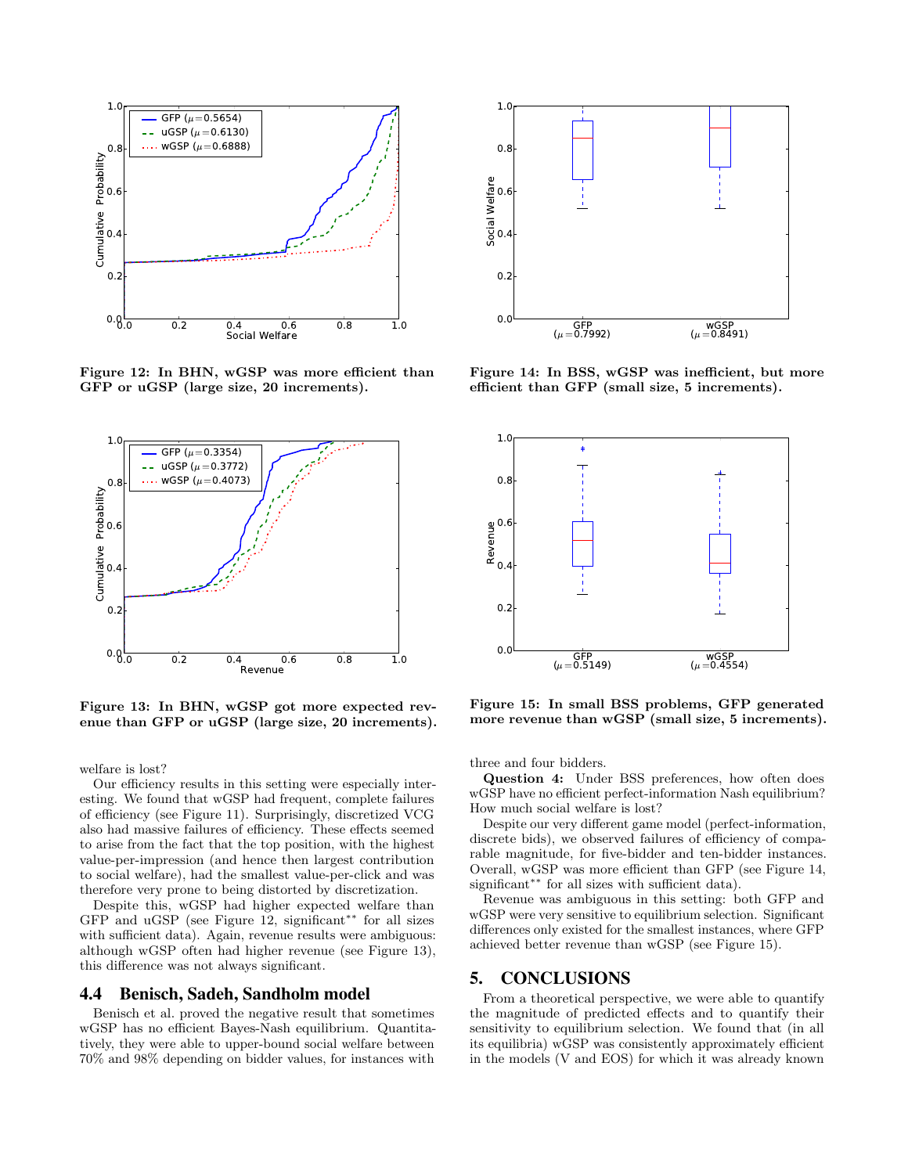

Figure 12: In BHN, wGSP was more efficient than GFP or uGSP (large size, 20 increments).



Figure 13: In BHN, wGSP got more expected revenue than GFP or uGSP (large size, 20 increments).

welfare is lost?

Our efficiency results in this setting were especially interesting. We found that wGSP had frequent, complete failures of efficiency (see Figure 11). Surprisingly, discretized VCG also had massive failures of efficiency. These effects seemed to arise from the fact that the top position, with the highest value-per-impression (and hence then largest contribution to social welfare), had the smallest value-per-click and was therefore very prone to being distorted by discretization.

Despite this, wGSP had higher expected welfare than GFP and uGSP (see Figure 12, significant<sup>\*\*</sup> for all sizes with sufficient data). Again, revenue results were ambiguous: although wGSP often had higher revenue (see Figure 13), this difference was not always significant.

# 4.4 Benisch, Sadeh, Sandholm model

Benisch et al. proved the negative result that sometimes wGSP has no efficient Bayes-Nash equilibrium. Quantitatively, they were able to upper-bound social welfare between 70% and 98% depending on bidder values, for instances with



Figure 14: In BSS, wGSP was inefficient, but more efficient than GFP (small size, 5 increments).



Figure 15: In small BSS problems, GFP generated more revenue than wGSP (small size, 5 increments).

three and four bidders.

Question 4: Under BSS preferences, how often does wGSP have no efficient perfect-information Nash equilibrium? How much social welfare is lost?

Despite our very different game model (perfect-information, discrete bids), we observed failures of efficiency of comparable magnitude, for five-bidder and ten-bidder instances. Overall, wGSP was more efficient than GFP (see Figure 14, significant<sup>∗∗</sup> for all sizes with sufficient data).

Revenue was ambiguous in this setting: both GFP and wGSP were very sensitive to equilibrium selection. Significant differences only existed for the smallest instances, where GFP achieved better revenue than wGSP (see Figure 15).

# 5. CONCLUSIONS

From a theoretical perspective, we were able to quantify the magnitude of predicted effects and to quantify their sensitivity to equilibrium selection. We found that (in all its equilibria) wGSP was consistently approximately efficient in the models (V and EOS) for which it was already known